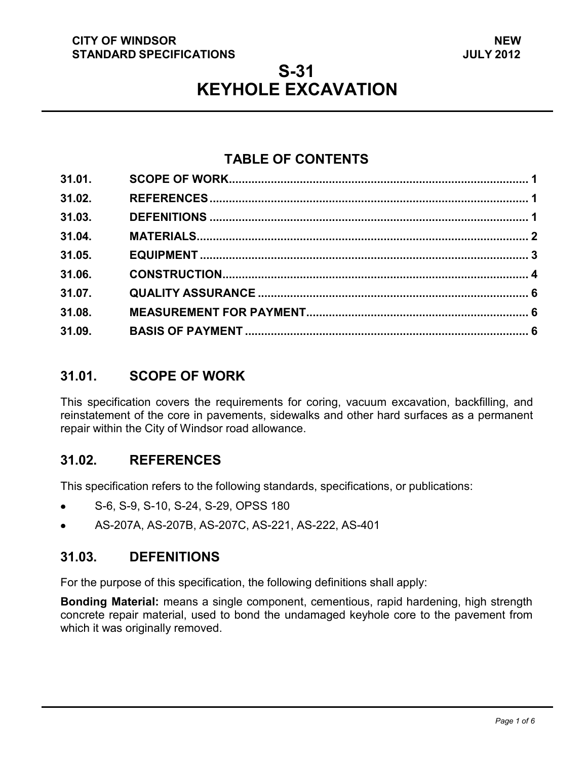#### **CITY OF WINDSOR STANDARD SPECIFICATIONS**

# **S-31 KEYHOLE EXCAVATION**

## **TABLE OF CONTENTS**

| 31.01. |  |
|--------|--|
| 31.02. |  |
| 31.03. |  |
| 31.04. |  |
| 31.05. |  |
| 31.06. |  |
| 31.07. |  |
| 31.08. |  |
| 31.09. |  |
|        |  |

## <span id="page-0-2"></span>**31.01. SCOPE OF WORK**

This specification covers the requirements for coring, vacuum excavation, backfilling, and reinstatement of the core in pavements, sidewalks and other hard surfaces as a permanent repair within the City of Windsor road allowance.

## <span id="page-0-0"></span>**31.02. REFERENCES**

This specification refers to the following standards, specifications, or publications:

- S-6, S-9, S-10, S-24, S-29, OPSS 180
- AS-207A, AS-207B, AS-207C, AS-221, AS-222, AS-401

## <span id="page-0-1"></span>**31.03. DEFENITIONS**

For the purpose of this specification, the following definitions shall apply:

**Bonding Material:** means a single component, cementious, rapid hardening, high strength concrete repair material, used to bond the undamaged keyhole core to the pavement from which it was originally removed.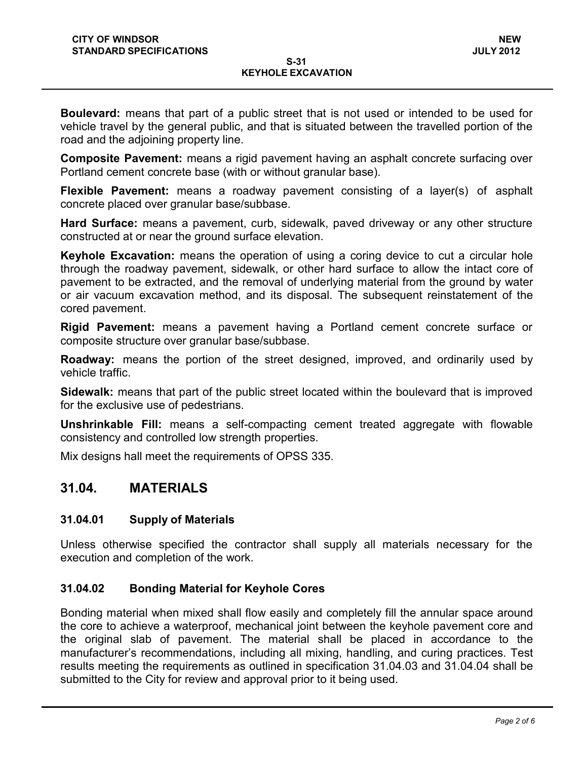**Boulevard:** means that part of a public street that is not used or intended to be used for vehicle travel by the general public, and that is situated between the travelled portion of the road and the adjoining property line.

**Composite Pavement:** means a rigid pavement having an asphalt concrete surfacing over Portland cement concrete base (with or without granular base).

**Flexible Pavement:** means a roadway pavement consisting of a layer(s) of asphalt concrete placed over granular base/subbase.

**Hard Surface:** means a pavement, curb, sidewalk, paved driveway or any other structure constructed at or near the ground surface elevation.

**Keyhole Excavation:** means the operation of using a coring device to cut a circular hole through the roadway pavement, sidewalk, or other hard surface to allow the intact core of pavement to be extracted, and the removal of underlying material from the ground by water or air vacuum excavation method, and its disposal. The subsequent reinstatement of the cored pavement.

**Rigid Pavement:** means a pavement having a Portland cement concrete surface or composite structure over granular base/subbase.

**Roadway:** means the portion of the street designed, improved, and ordinarily used by vehicle traffic.

**Sidewalk:** means that part of the public street located within the boulevard that is improved for the exclusive use of pedestrians.

**Unshrinkable Fill:** means a self-compacting cement treated aggregate with flowable consistency and controlled low strength properties.

Mix designs hall meet the requirements of OPSS 335.

### <span id="page-1-0"></span>**31.04. MATERIALS**

#### **31.04.01 Supply of Materials**

Unless otherwise specified the contractor shall supply all materials necessary for the execution and completion of the work.

#### **31.04.02 Bonding Material for Keyhole Cores**

Bonding material when mixed shall flow easily and completely fill the annular space around the core to achieve a waterproof, mechanical joint between the keyhole pavement core and the original slab of pavement. The material shall be placed in accordance to the manufacturer's recommendations, including all mixing, handling, and curing practices. Test results meeting the requirements as outlined in specification 31.04.03 and 31.04.04 shall be submitted to the City for review and approval prior to it being used.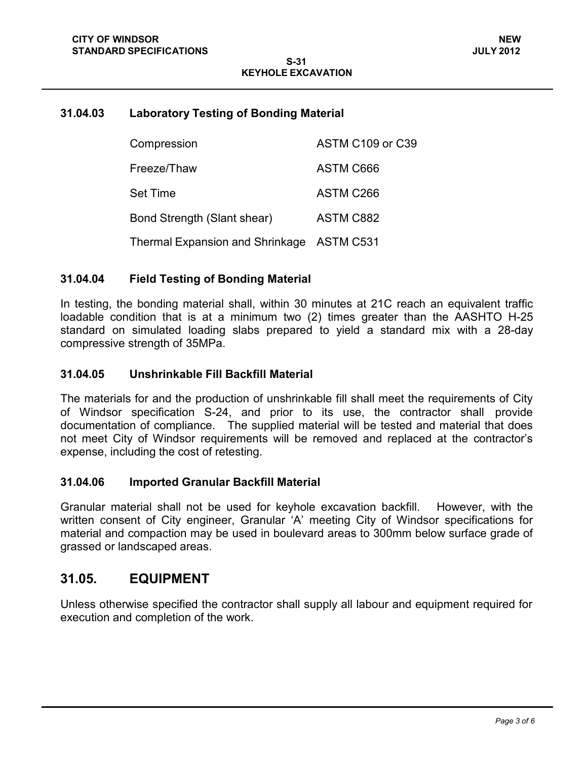#### **31.04.03 Laboratory Testing of Bonding Material**

| Compression                               | ASTM C109 or C39 |
|-------------------------------------------|------------------|
| Freeze/Thaw                               | ASTM C666        |
| <b>Set Time</b>                           | ASTM C266        |
| Bond Strength (Slant shear)               | ASTM C882        |
| Thermal Expansion and Shrinkage ASTM C531 |                  |

#### **31.04.04 Field Testing of Bonding Material**

In testing, the bonding material shall, within 30 minutes at 21C reach an equivalent traffic loadable condition that is at a minimum two (2) times greater than the AASHTO H-25 standard on simulated loading slabs prepared to yield a standard mix with a 28-day compressive strength of 35MPa.

#### **31.04.05 Unshrinkable Fill Backfill Material**

The materials for and the production of unshrinkable fill shall meet the requirements of City of Windsor specification S-24, and prior to its use, the contractor shall provide documentation of compliance. The supplied material will be tested and material that does not meet City of Windsor requirements will be removed and replaced at the contractor's expense, including the cost of retesting.

#### **31.04.06 Imported Granular Backfill Material**

Granular material shall not be used for keyhole excavation backfill. However, with the written consent of City engineer, Granular 'A' meeting City of Windsor specifications for material and compaction may be used in boulevard areas to 300mm below surface grade of grassed or landscaped areas.

#### <span id="page-2-0"></span>**31.05. EQUIPMENT**

Unless otherwise specified the contractor shall supply all labour and equipment required for execution and completion of the work.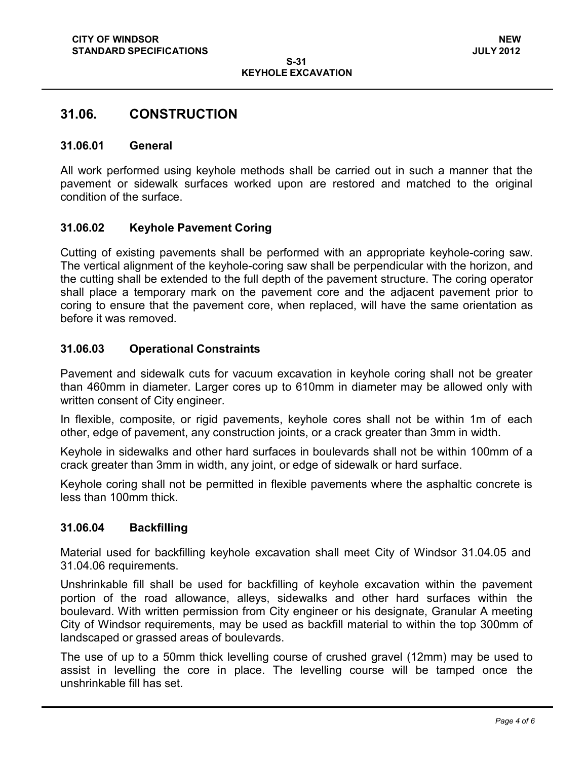### <span id="page-3-0"></span>**31.06. CONSTRUCTION**

#### **31.06.01 General**

All work performed using keyhole methods shall be carried out in such a manner that the pavement or sidewalk surfaces worked upon are restored and matched to the original condition of the surface.

#### **31.06.02 Keyhole Pavement Coring**

Cutting of existing pavements shall be performed with an appropriate keyhole-coring saw. The vertical alignment of the keyhole-coring saw shall be perpendicular with the horizon, and the cutting shall be extended to the full depth of the pavement structure. The coring operator shall place a temporary mark on the pavement core and the adjacent pavement prior to coring to ensure that the pavement core, when replaced, will have the same orientation as before it was removed.

#### **31.06.03 Operational Constraints**

Pavement and sidewalk cuts for vacuum excavation in keyhole coring shall not be greater than 460mm in diameter. Larger cores up to 610mm in diameter may be allowed only with written consent of City engineer.

In flexible, composite, or rigid pavements, keyhole cores shall not be within 1m of each other, edge of pavement, any construction joints, or a crack greater than 3mm in width.

Keyhole in sidewalks and other hard surfaces in boulevards shall not be within 100mm of a crack greater than 3mm in width, any joint, or edge of sidewalk or hard surface.

Keyhole coring shall not be permitted in flexible pavements where the asphaltic concrete is less than 100mm thick.

#### **31.06.04 Backfilling**

Material used for backfilling keyhole excavation shall meet City of Windsor 31.04.05 and 31.04.06 requirements.

Unshrinkable fill shall be used for backfilling of keyhole excavation within the pavement portion of the road allowance, alleys, sidewalks and other hard surfaces within the boulevard. With written permission from City engineer or his designate, Granular A meeting City of Windsor requirements, may be used as backfill material to within the top 300mm of landscaped or grassed areas of boulevards.

The use of up to a 50mm thick levelling course of crushed gravel (12mm) may be used to assist in levelling the core in place. The levelling course will be tamped once the unshrinkable fill has set.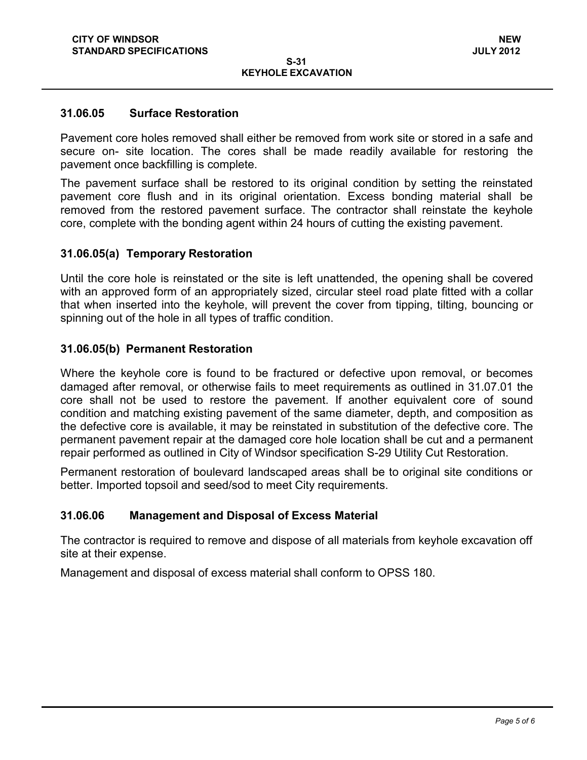#### **31.06.05 Surface Restoration**

Pavement core holes removed shall either be removed from work site or stored in a safe and secure on- site location. The cores shall be made readily available for restoring the pavement once backfilling is complete.

The pavement surface shall be restored to its original condition by setting the reinstated pavement core flush and in its original orientation. Excess bonding material shall be removed from the restored pavement surface. The contractor shall reinstate the keyhole core, complete with the bonding agent within 24 hours of cutting the existing pavement.

#### **31.06.05(a) Temporary Restoration**

Until the core hole is reinstated or the site is left unattended, the opening shall be covered with an approved form of an appropriately sized, circular steel road plate fitted with a collar that when inserted into the keyhole, will prevent the cover from tipping, tilting, bouncing or spinning out of the hole in all types of traffic condition.

#### **31.06.05(b) Permanent Restoration**

Where the keyhole core is found to be fractured or defective upon removal, or becomes damaged after removal, or otherwise fails to meet requirements as outlined in 31.07.01 the core shall not be used to restore the pavement. If another equivalent core of sound condition and matching existing pavement of the same diameter, depth, and composition as the defective core is available, it may be reinstated in substitution of the defective core. The permanent pavement repair at the damaged core hole location shall be cut and a permanent repair performed as outlined in City of Windsor specification S-29 Utility Cut Restoration.

Permanent restoration of boulevard landscaped areas shall be to original site conditions or better. Imported topsoil and seed/sod to meet City requirements.

#### **31.06.06 Management and Disposal of Excess Material**

The contractor is required to remove and dispose of all materials from keyhole excavation off site at their expense.

Management and disposal of excess material shall conform to OPSS 180.